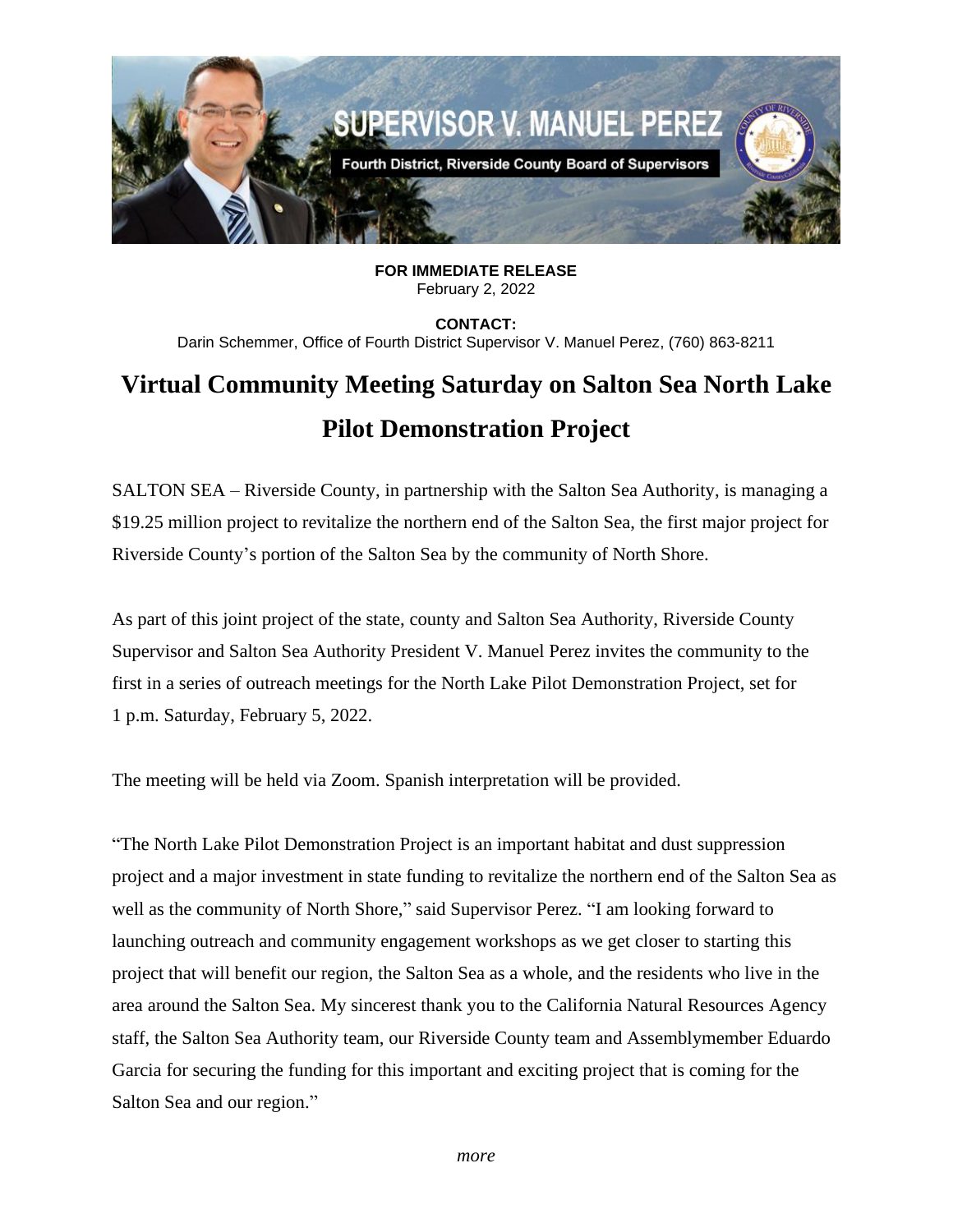

**FOR IMMEDIATE RELEASE** February 2, 2022

**CONTACT:** Darin Schemmer, Office of Fourth District Supervisor V. Manuel Perez, (760) 863-8211

## **Virtual Community Meeting Saturday on Salton Sea North Lake Pilot Demonstration Project**

SALTON SEA – Riverside County, in partnership with the Salton Sea Authority, is managing a \$19.25 million project to revitalize the northern end of the Salton Sea, the first major project for Riverside County's portion of the Salton Sea by the community of North Shore.

As part of this joint project of the state, county and Salton Sea Authority, Riverside County Supervisor and Salton Sea Authority President V. Manuel Perez invites the community to the first in a series of outreach meetings for the North Lake Pilot Demonstration Project, set for 1 p.m. Saturday, February 5, 2022.

The meeting will be held via Zoom. Spanish interpretation will be provided.

"The North Lake Pilot Demonstration Project is an important habitat and dust suppression project and a major investment in state funding to revitalize the northern end of the Salton Sea as well as the community of North Shore," said Supervisor Perez. "I am looking forward to launching outreach and community engagement workshops as we get closer to starting this project that will benefit our region, the Salton Sea as a whole, and the residents who live in the area around the Salton Sea. My sincerest thank you to the California Natural Resources Agency staff, the Salton Sea Authority team, our Riverside County team and Assemblymember Eduardo Garcia for securing the funding for this important and exciting project that is coming for the Salton Sea and our region."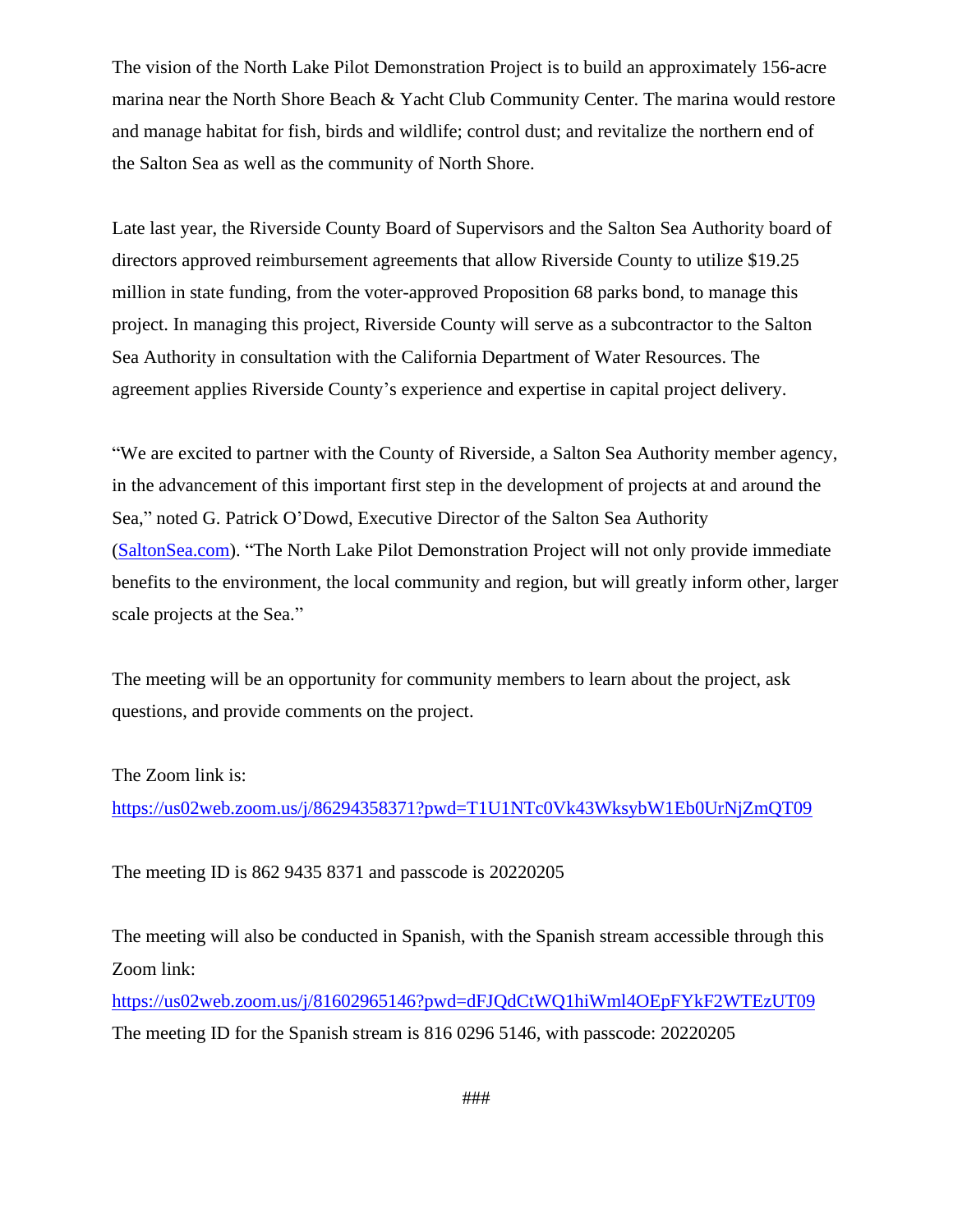The vision of the North Lake Pilot Demonstration Project is to build an approximately 156-acre marina near the North Shore Beach & Yacht Club Community Center. The marina would restore and manage habitat for fish, birds and wildlife; control dust; and revitalize the northern end of the Salton Sea as well as the community of North Shore.

Late last year, the Riverside County Board of Supervisors and the Salton Sea Authority board of directors approved reimbursement agreements that allow Riverside County to utilize \$19.25 million in state funding, from the voter-approved Proposition 68 parks bond, to manage this project. In managing this project, Riverside County will serve as a subcontractor to the Salton Sea Authority in consultation with the California Department of Water Resources. The agreement applies Riverside County's experience and expertise in capital project delivery.

"We are excited to partner with the County of Riverside, a Salton Sea Authority member agency, in the advancement of this important first step in the development of projects at and around the Sea," noted G. Patrick O'Dowd, Executive Director of the Salton Sea Authority [\(SaltonSea.com\)](http://saltonsea.com/). "The North Lake Pilot Demonstration Project will not only provide immediate benefits to the environment, the local community and region, but will greatly inform other, larger scale projects at the Sea."

The meeting will be an opportunity for community members to learn about the project, ask questions, and provide comments on the project.

The Zoom link is:

<https://us02web.zoom.us/j/86294358371?pwd=T1U1NTc0Vk43WksybW1Eb0UrNjZmQT09>

The meeting ID is 862 9435 8371 and passcode is 20220205

The meeting will also be conducted in Spanish, with the Spanish stream accessible through this Zoom link:

<https://us02web.zoom.us/j/81602965146?pwd=dFJQdCtWQ1hiWml4OEpFYkF2WTEzUT09> The meeting ID for the Spanish stream is 816 0296 5146, with passcode: 20220205